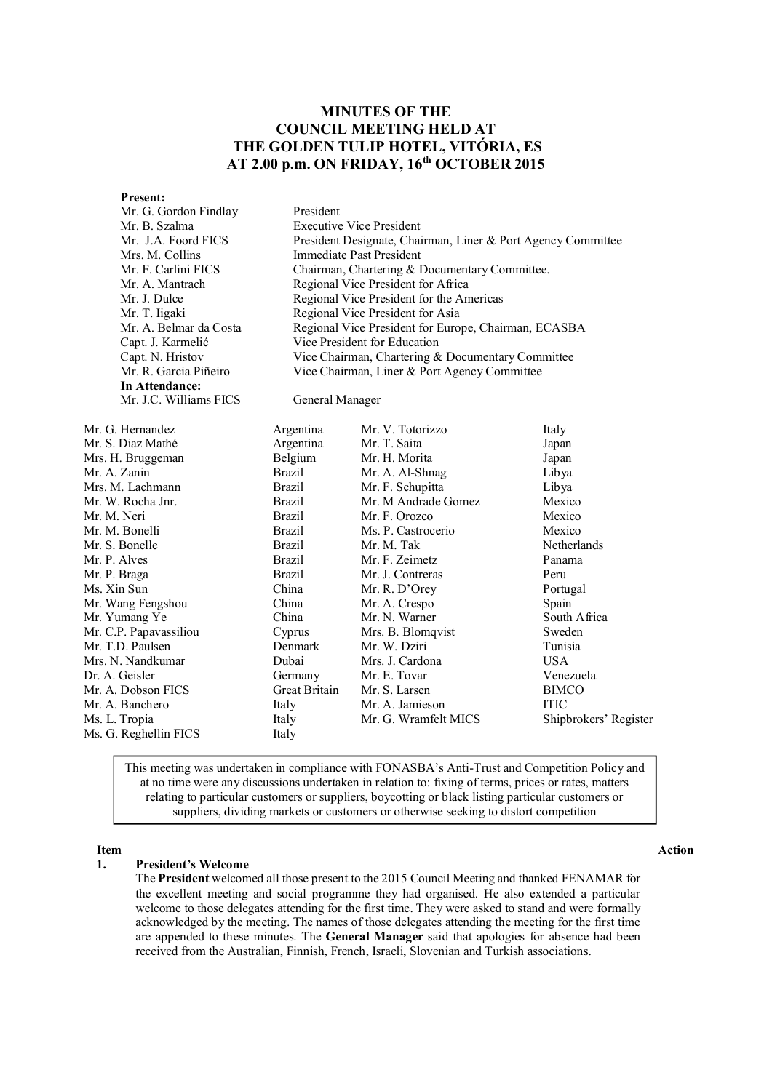# **MINUTES OF THE COUNCIL MEETING HELD AT THE GOLDEN TULIP HOTEL, VITÓRIA, ES AT 2.00 p.m. ON FRIDAY, 16 th OCTOBER 2015**

**Present:**<br>Mr. G. G

**In Attendance:**

| President                                                    |
|--------------------------------------------------------------|
| <b>Executive Vice President</b>                              |
| President Designate, Chairman, Liner & Port Agency Committee |
| Immediate Past President                                     |
| Chairman, Chartering & Documentary Committee.                |
| Regional Vice President for Africa                           |
| Regional Vice President for the Americas                     |
| Regional Vice President for Asia                             |
| Regional Vice President for Europe, Chairman, ECASBA         |
| Vice President for Education                                 |
| Vice Chairman, Chartering & Documentary Committee            |
| Vice Chairman, Liner & Port Agency Committee                 |
|                                                              |

Mr. J.C. Williams FICS General Manager

| Mr. G. Hernandez       | Argentina     | Mr. V. Totorizzo     | Italy                 |
|------------------------|---------------|----------------------|-----------------------|
| Mr. S. Diaz Mathé      | Argentina     | Mr. T. Saita         | Japan                 |
| Mrs. H. Bruggeman      | Belgium       | Mr. H. Morita        | Japan                 |
| Mr. A. Zanin           | <b>Brazil</b> | Mr. A. Al-Shnag      | Libya                 |
| Mrs. M. Lachmann       | <b>Brazil</b> | Mr. F. Schupitta     | Libya                 |
| Mr. W. Rocha Jnr.      | <b>Brazil</b> | Mr. M Andrade Gomez  | Mexico                |
| Mr. M. Neri            | <b>Brazil</b> | Mr. F. Orozco        | Mexico                |
| Mr. M. Bonelli         | <b>Brazil</b> | Ms. P. Castrocerio   | Mexico                |
| Mr. S. Bonelle         | <b>Brazil</b> | Mr. M. Tak           | Netherlands           |
| Mr. P. Alves           | <b>Brazil</b> | Mr. F. Zeimetz       | Panama                |
| Mr. P. Braga           | <b>Brazil</b> | Mr. J. Contreras     | Peru                  |
| Ms. Xin Sun            | China         | Mr. R. D'Orey        | Portugal              |
| Mr. Wang Fengshou      | China         | Mr. A. Crespo        | Spain                 |
| Mr. Yumang Ye          | China         | Mr. N. Warner        | South Africa          |
| Mr. C.P. Papavassiliou | Cyprus        | Mrs. B. Blomqvist    | Sweden                |
| Mr. T.D. Paulsen       | Denmark       | Mr. W. Dziri         | Tunisia               |
| Mrs. N. Nandkumar      | Dubai         | Mrs. J. Cardona      | USA.                  |
| Dr. A. Geisler         | Germany       | Mr. E. Tovar         | Venezuela             |
| Mr. A. Dobson FICS     | Great Britain | Mr. S. Larsen        | <b>BIMCO</b>          |
| Mr. A. Banchero        | Italy         | Mr. A. Jamieson      | <b>ITIC</b>           |
| Ms. L. Tropia          | Italy         | Mr. G. Wramfelt MICS | Shipbrokers' Register |
| Ms. G. Reghellin FICS  | Italy         |                      |                       |
|                        |               |                      |                       |

This meeting was undertaken in compliance with FONASBA's Anti-Trust and Competition Policy and at no time were any discussions undertaken in relation to: fixing of terms, prices or rates, matters relating to particular customers or suppliers, boycotting or black listing particular customers or suppliers, dividing markets or customers or otherwise seeking to distort competition

## **1. President's Welcome**

The **President** welcomed all those present to the 2015 Council Meeting and thanked FENAMAR for the excellent meeting and social programme they had organised. He also extended a particular welcome to those delegates attending for the first time. They were asked to stand and were formally acknowledged by the meeting. The names of those delegates attending the meeting for the first time are appended to these minutes. The **General Manager** said that apologies for absence had been received from the Australian, Finnish, French, Israeli, Slovenian and Turkish associations.

### **Item Action**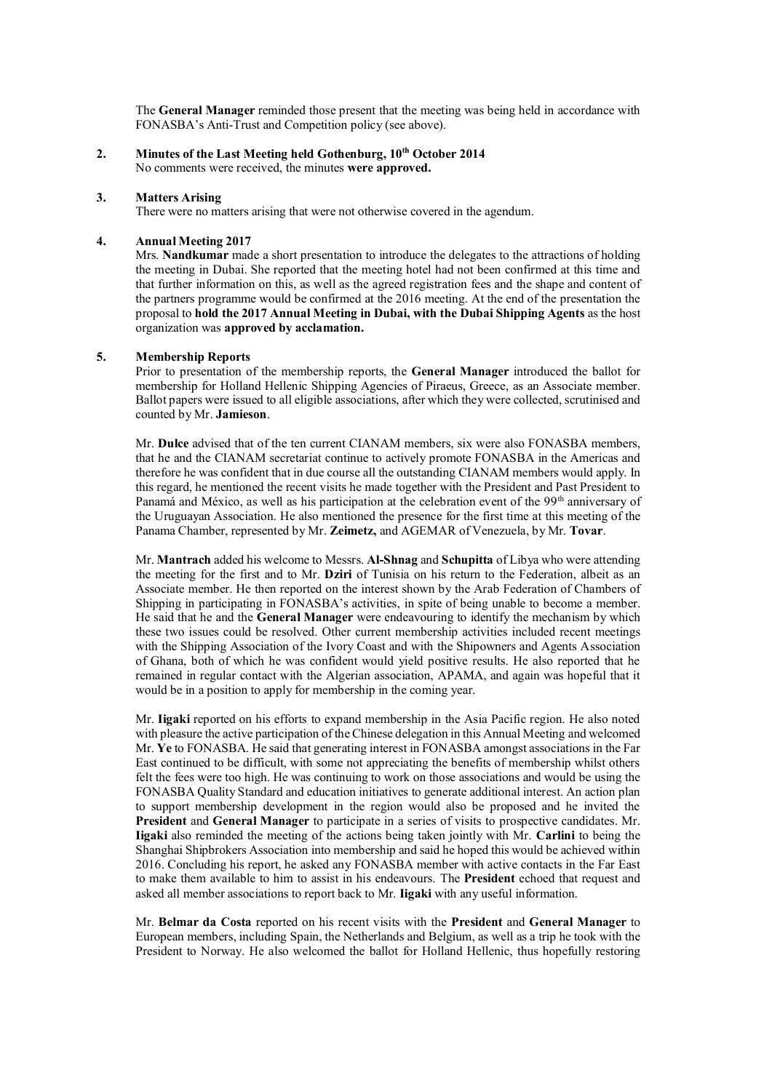The **General Manager** reminded those present that the meeting was being held in accordance with FONASBA's Anti-Trust and Competition policy (see above).

**2. Minutes of the Last Meeting held Gothenburg, 10th October 2014** No comments were received, the minutes **were approved.**

#### **3. Matters Arising**

There were no matters arising that were not otherwise covered in the agendum.

#### **4. Annual Meeting 2017**

Mrs. **Nandkumar** made a short presentation to introduce the delegates to the attractions of holding the meeting in Dubai. She reported that the meeting hotel had not been confirmed at this time and that further information on this, as well as the agreed registration fees and the shape and content of the partners programme would be confirmed at the 2016 meeting. At the end of the presentation the proposal to **hold the 2017 Annual Meeting in Dubai, with the Dubai Shipping Agents** as the host organization was **approved by acclamation.**

#### **5. Membership Reports**

Prior to presentation of the membership reports, the **General Manager** introduced the ballot for membership for Holland Hellenic Shipping Agencies of Piraeus, Greece, as an Associate member. Ballot papers were issued to all eligible associations, after which they were collected, scrutinised and counted by Mr. **Jamieson**.

Mr. **Dulce** advised that of the ten current CIANAM members, six were also FONASBA members, that he and the CIANAM secretariat continue to actively promote FONASBA in the Americas and therefore he was confident that in due course all the outstanding CIANAM members would apply. In this regard, he mentioned the recent visits he made together with the President and Past President to Panamá and México, as well as his participation at the celebration event of the 99<sup>th</sup> anniversary of the Uruguayan Association. He also mentioned the presence for the first time at this meeting of the Panama Chamber, represented by Mr. **Zeimetz,** and AGEMAR of Venezuela, by Mr. **Tovar**.

Mr. **Mantrach** added his welcome to Messrs. **Al-Shnag** and **Schupitta** of Libya who were attending the meeting for the first and to Mr. **Dziri** of Tunisia on his return to the Federation, albeit as an Associate member. He then reported on the interest shown by the Arab Federation of Chambers of Shipping in participating in FONASBA's activities, in spite of being unable to become a member. He said that he and the **General Manager** were endeavouring to identify the mechanism by which these two issues could be resolved. Other current membership activities included recent meetings with the Shipping Association of the Ivory Coast and with the Shipowners and Agents Association of Ghana, both of which he was confident would yield positive results. He also reported that he remained in regular contact with the Algerian association, APAMA, and again was hopeful that it would be in a position to apply for membership in the coming year.

Mr. **Iigaki** reported on his efforts to expand membership in the Asia Pacific region. He also noted with pleasure the active participation of the Chinese delegation in this Annual Meeting and welcomed Mr. **Ye** to FONASBA. He said that generating interest in FONASBA amongst associations in the Far East continued to be difficult, with some not appreciating the benefits of membership whilst others felt the fees were too high. He was continuing to work on those associations and would be using the FONASBA Quality Standard and education initiatives to generate additional interest. An action plan to support membership development in the region would also be proposed and he invited the **President** and **General Manager** to participate in a series of visits to prospective candidates. Mr. **Iigaki** also reminded the meeting of the actions being taken jointly with Mr. **Carlini** to being the Shanghai Shipbrokers Association into membership and said he hoped this would be achieved within 2016. Concluding his report, he asked any FONASBA member with active contacts in the Far East to make them available to him to assist in his endeavours. The **President** echoed that request and asked all member associations to report back to Mr. **Iigaki** with any useful information.

Mr. **Belmar da Costa** reported on his recent visits with the **President** and **General Manager** to European members, including Spain, the Netherlands and Belgium, as well as a trip he took with the President to Norway. He also welcomed the ballot for Holland Hellenic, thus hopefully restoring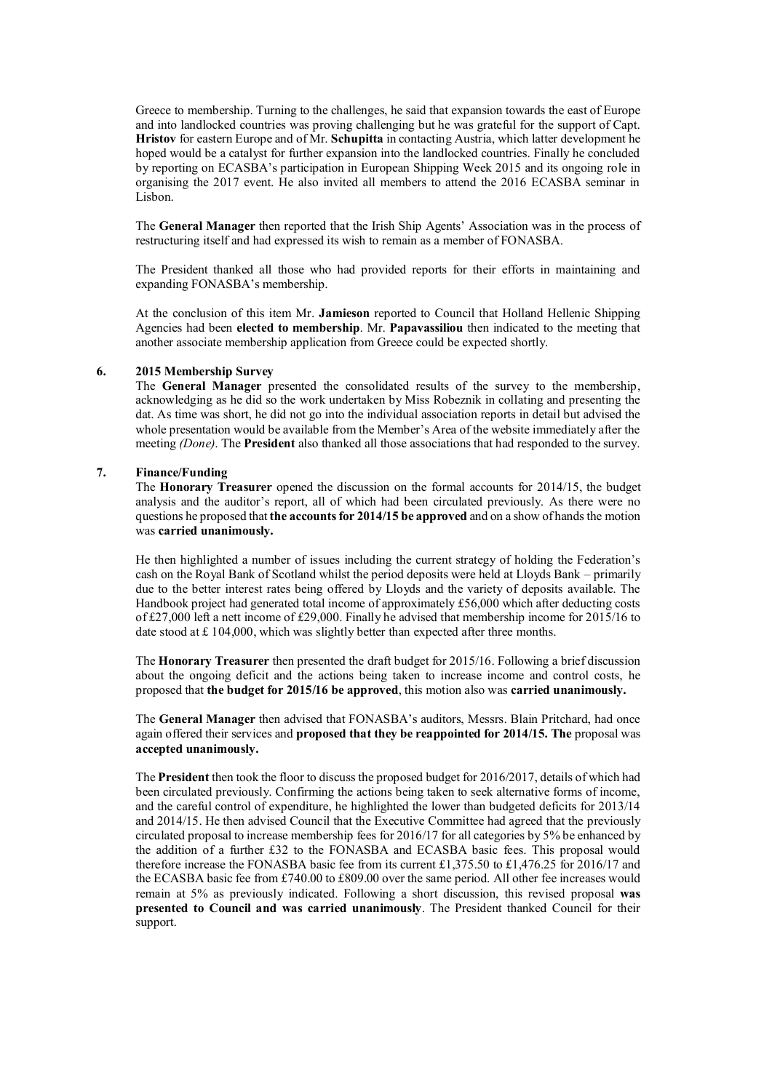Greece to membership. Turning to the challenges, he said that expansion towards the east of Europe and into landlocked countries was proving challenging but he was grateful for the support of Capt. **Hristov** for eastern Europe and of Mr. **Schupitta** in contacting Austria, which latter development he hoped would be a catalyst for further expansion into the landlocked countries. Finally he concluded by reporting on ECASBA's participation in European Shipping Week 2015 and its ongoing role in organising the 2017 event. He also invited all members to attend the 2016 ECASBA seminar in Lisbon.

The **General Manager** then reported that the Irish Ship Agents' Association was in the process of restructuring itself and had expressed its wish to remain as a member of FONASBA.

The President thanked all those who had provided reports for their efforts in maintaining and expanding FONASBA's membership.

At the conclusion of this item Mr. **Jamieson** reported to Council that Holland Hellenic Shipping Agencies had been **elected to membership**. Mr. **Papavassiliou** then indicated to the meeting that another associate membership application from Greece could be expected shortly.

#### **6. 2015 Membership Survey**

The **General Manager** presented the consolidated results of the survey to the membership, acknowledging as he did so the work undertaken by Miss Robeznik in collating and presenting the dat. As time was short, he did not go into the individual association reports in detail but advised the whole presentation would be available from the Member's Area of the website immediately after the meeting *(Done)*. The **President** also thanked all those associations that had responded to the survey.

#### **7. Finance/Funding**

The **Honorary Treasurer** opened the discussion on the formal accounts for 2014/15, the budget analysis and the auditor's report, all of which had been circulated previously. As there were no questions he proposed that **the accounts for 2014/15 be approved** and on a show of hands the motion was **carried unanimously.**

He then highlighted a number of issues including the current strategy of holding the Federation's cash on the Royal Bank of Scotland whilst the period deposits were held at Lloyds Bank – primarily due to the better interest rates being offered by Lloyds and the variety of deposits available. The Handbook project had generated total income of approximately £56,000 which after deducting costs of £27,000 left a nett income of £29,000. Finally he advised that membership income for 2015/16 to date stood at £ 104,000, which was slightly better than expected after three months.

The **Honorary Treasurer** then presented the draft budget for 2015/16. Following a brief discussion about the ongoing deficit and the actions being taken to increase income and control costs, he proposed that **the budget for 2015/16 be approved**, this motion also was **carried unanimously.**

The **General Manager** then advised that FONASBA's auditors, Messrs. Blain Pritchard, had once again offered their services and **proposed that they be reappointed for 2014/15. The** proposal was **accepted unanimously.**

The **President** then took the floor to discuss the proposed budget for 2016/2017, details of which had been circulated previously. Confirming the actions being taken to seek alternative forms of income, and the careful control of expenditure, he highlighted the lower than budgeted deficits for 2013/14 and 2014/15. He then advised Council that the Executive Committee had agreed that the previously circulated proposal to increase membership fees for 2016/17 for all categories by 5% be enhanced by the addition of a further £32 to the FONASBA and ECASBA basic fees. This proposal would therefore increase the FONASBA basic fee from its current £1,375.50 to £1,476.25 for 2016/17 and the ECASBA basic fee from £740.00 to £809.00 over the same period. All other fee increases would remain at 5% as previously indicated. Following a short discussion, this revised proposal **was presented to Council and was carried unanimously**. The President thanked Council for their support.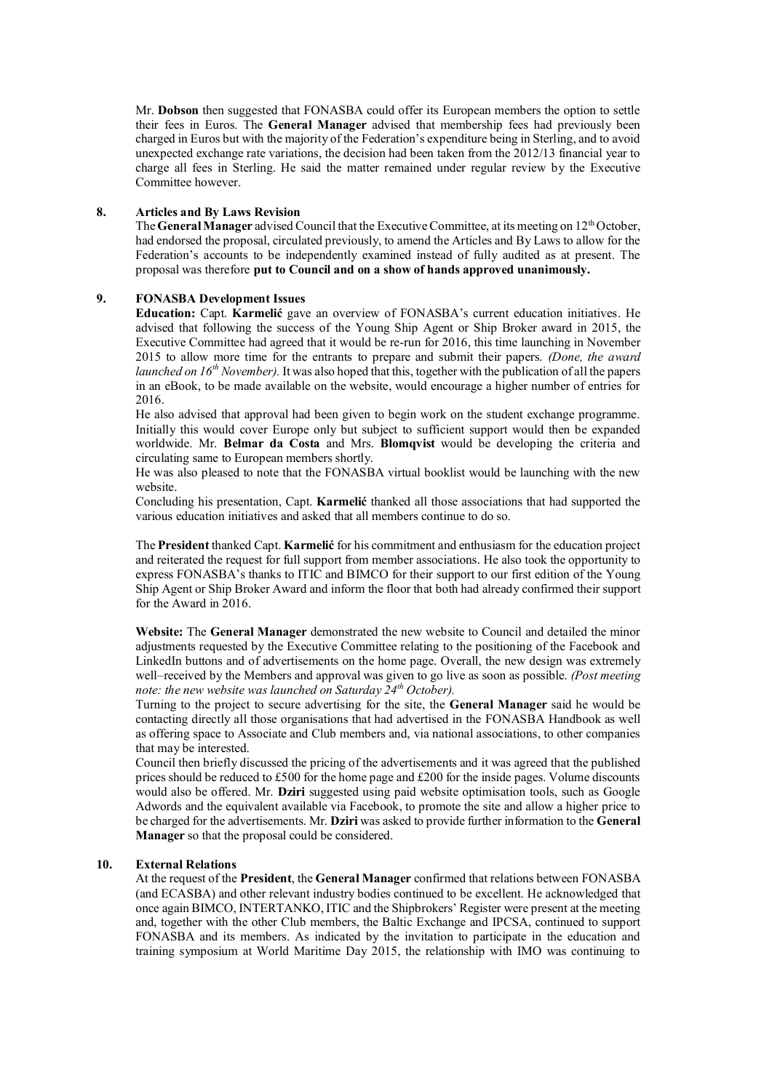Mr. **Dobson** then suggested that FONASBA could offer its European members the option to settle their fees in Euros. The **General Manager** advised that membership fees had previously been charged in Euros but with the majority of the Federation's expenditure being in Sterling, and to avoid unexpected exchange rate variations, the decision had been taken from the 2012/13 financial year to charge all fees in Sterling. He said the matter remained under regular review by the Executive Committee however.

### **8. Articles and By Laws Revision**

The **General Manager** advised Council that the Executive Committee, at its meeting on 12<sup>th</sup> October, had endorsed the proposal, circulated previously, to amend the Articles and By Laws to allow for the Federation's accounts to be independently examined instead of fully audited as at present. The proposal was therefore **put to Council and on a show of hands approved unanimously.**

#### **9. FONASBA Development Issues**

**Education:** Capt. **Karmelić** gave an overview of FONASBA's current education initiatives. He advised that following the success of the Young Ship Agent or Ship Broker award in 2015, the Executive Committee had agreed that it would be re-run for 2016, this time launching in November 2015 to allow more time for the entrants to prepare and submit their papers. *(Done, the award launched on 16th November).* It was also hoped that this, together with the publication of all the papers in an eBook, to be made available on the website, would encourage a higher number of entries for 2016.

He also advised that approval had been given to begin work on the student exchange programme. Initially this would cover Europe only but subject to sufficient support would then be expanded worldwide. Mr. **Belmar da Costa** and Mrs. **Blomqvist** would be developing the criteria and circulating same to European members shortly.

He was also pleased to note that the FONASBA virtual booklist would be launching with the new website.

Concluding his presentation, Capt. **Karmelić** thanked all those associations that had supported the various education initiatives and asked that all members continue to do so.

The **President** thanked Capt. **Karmelić** for his commitment and enthusiasm for the education project and reiterated the request for full support from member associations. He also took the opportunity to express FONASBA's thanks to ITIC and BIMCO for their support to our first edition of the Young Ship Agent or Ship Broker Award and inform the floor that both had already confirmed their support for the Award in 2016.

**Website:** The **General Manager** demonstrated the new website to Council and detailed the minor adjustments requested by the Executive Committee relating to the positioning of the Facebook and LinkedIn buttons and of advertisements on the home page. Overall, the new design was extremely well–received by the Members and approval was given to go live as soon as possible. *(Post meeting note: the new website was launched on Saturday 24th October).*

Turning to the project to secure advertising for the site, the **General Manager** said he would be contacting directly all those organisations that had advertised in the FONASBA Handbook as well as offering space to Associate and Club members and, via national associations, to other companies that may be interested.

Council then briefly discussed the pricing of the advertisements and it was agreed that the published prices should be reduced to £500 for the home page and £200 for the inside pages. Volume discounts would also be offered. Mr. **Dziri** suggested using paid website optimisation tools, such as Google Adwords and the equivalent available via Facebook, to promote the site and allow a higher price to be charged for the advertisements. Mr. **Dziri** was asked to provide further information to the **General Manager** so that the proposal could be considered.

#### **10. External Relations**

At the request of the **President**, the **General Manager** confirmed that relations between FONASBA (and ECASBA) and other relevant industry bodies continued to be excellent. He acknowledged that once again BIMCO, INTERTANKO, ITIC and the Shipbrokers' Register were present at the meeting and, together with the other Club members, the Baltic Exchange and IPCSA, continued to support FONASBA and its members. As indicated by the invitation to participate in the education and training symposium at World Maritime Day 2015, the relationship with IMO was continuing to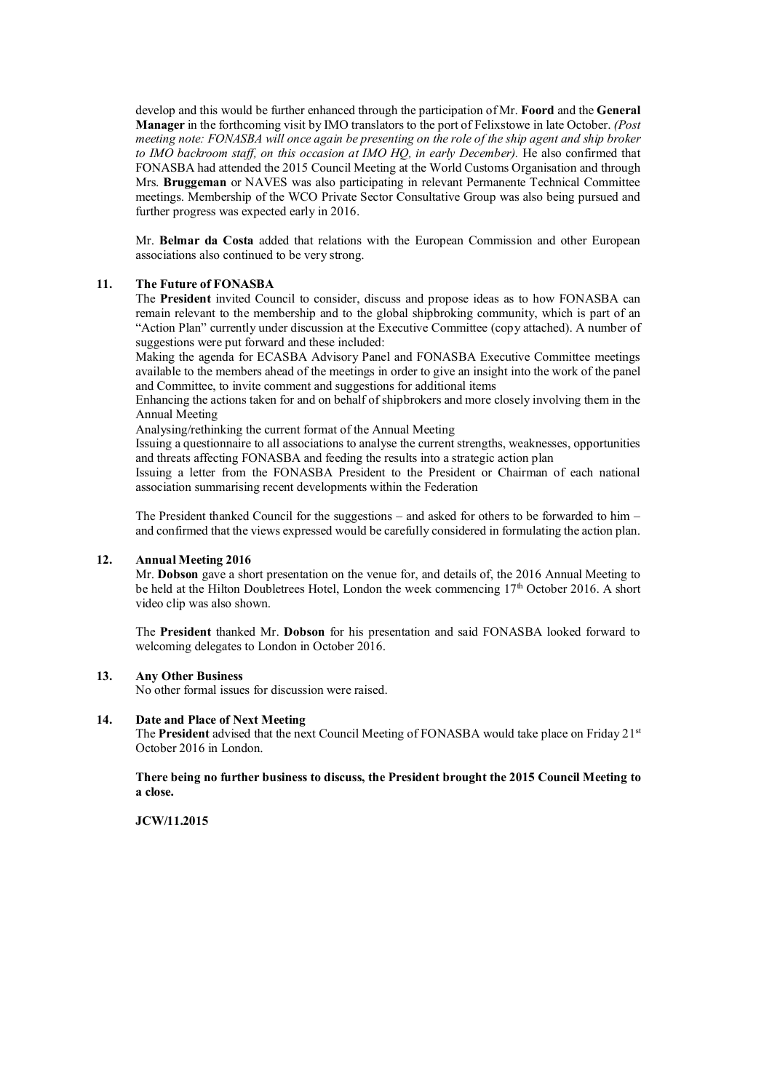develop and this would be further enhanced through the participation of Mr. **Foord** and the **General Manager** in the forthcoming visit by IMO translators to the port of Felixstowe in late October. *(Post meeting note: FONASBA will once again be presenting on the role of the ship agent and ship broker to IMO backroom staff, on this occasion at IMO HQ, in early December).* He also confirmed that FONASBA had attended the 2015 Council Meeting at the World Customs Organisation and through Mrs. **Bruggeman** or NAVES was also participating in relevant Permanente Technical Committee meetings. Membership of the WCO Private Sector Consultative Group was also being pursued and further progress was expected early in 2016.

Mr. **Belmar da Costa** added that relations with the European Commission and other European associations also continued to be very strong.

#### **11. The Future of FONASBA**

The **President** invited Council to consider, discuss and propose ideas as to how FONASBA can remain relevant to the membership and to the global shipbroking community, which is part of an "Action Plan" currently under discussion at the Executive Committee (copy attached). A number of suggestions were put forward and these included:

Making the agenda for ECASBA Advisory Panel and FONASBA Executive Committee meetings available to the members ahead of the meetings in order to give an insight into the work of the panel and Committee, to invite comment and suggestions for additional items

Enhancing the actions taken for and on behalf of shipbrokers and more closely involving them in the Annual Meeting

Analysing/rethinking the current format of the Annual Meeting

Issuing a questionnaire to all associations to analyse the current strengths, weaknesses, opportunities and threats affecting FONASBA and feeding the results into a strategic action plan

Issuing a letter from the FONASBA President to the President or Chairman of each national association summarising recent developments within the Federation

The President thanked Council for the suggestions – and asked for others to be forwarded to him – and confirmed that the views expressed would be carefully considered in formulating the action plan.

#### **12. Annual Meeting 2016**

Mr. **Dobson** gave a short presentation on the venue for, and details of, the 2016 Annual Meeting to be held at the Hilton Doubletrees Hotel, London the week commencing  $17<sup>th</sup>$  October 2016. A short video clip was also shown.

The **President** thanked Mr. **Dobson** for his presentation and said FONASBA looked forward to welcoming delegates to London in October 2016.

#### **13. Any Other Business**

No other formal issues for discussion were raised.

#### **14. Date and Place of Next Meeting**

The **President** advised that the next Council Meeting of FONASBA would take place on Friday 21st October 2016 in London.

**There being no further business to discuss, the President brought the 2015 Council Meeting to a close.**

**JCW/11.2015**